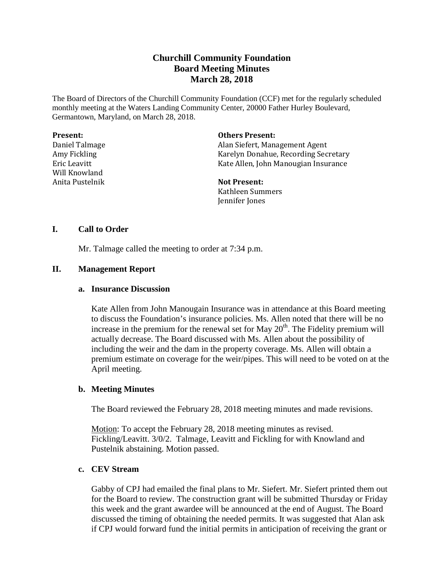# **Churchill Community Foundation Board Meeting Minutes March 28, 2018**

The Board of Directors of the Churchill Community Foundation (CCF) met for the regularly scheduled monthly meeting at the Waters Landing Community Center, 20000 Father Hurley Boulevard, Germantown, Maryland, on March 28, 2018.

#### **Present:**

Daniel Talmage Amy Fickling Eric Leavitt Will Knowland Anita Pustelnik

#### **Others Present:**

Alan Siefert, Management Agent Karelyn Donahue, Recording Secretary Kate Allen, John Manougian Insurance

# **Not Present:**

Kathleen Summers Jennifer Jones

## **I. Call to Order**

Mr. Talmage called the meeting to order at 7:34 p.m.

## **II. Management Report**

#### **a. Insurance Discussion**

Kate Allen from John Manougain Insurance was in attendance at this Board meeting to discuss the Foundation's insurance policies. Ms. Allen noted that there will be no increase in the premium for the renewal set for May  $20<sup>th</sup>$ . The Fidelity premium will actually decrease. The Board discussed with Ms. Allen about the possibility of including the weir and the dam in the property coverage. Ms. Allen will obtain a premium estimate on coverage for the weir/pipes. This will need to be voted on at the April meeting.

## **b. Meeting Minutes**

The Board reviewed the February 28, 2018 meeting minutes and made revisions.

Motion: To accept the February 28, 2018 meeting minutes as revised. Fickling/Leavitt. 3/0/2. Talmage, Leavitt and Fickling for with Knowland and Pustelnik abstaining. Motion passed.

#### **c. CEV Stream**

Gabby of CPJ had emailed the final plans to Mr. Siefert. Mr. Siefert printed them out for the Board to review. The construction grant will be submitted Thursday or Friday this week and the grant awardee will be announced at the end of August. The Board discussed the timing of obtaining the needed permits. It was suggested that Alan ask if CPJ would forward fund the initial permits in anticipation of receiving the grant or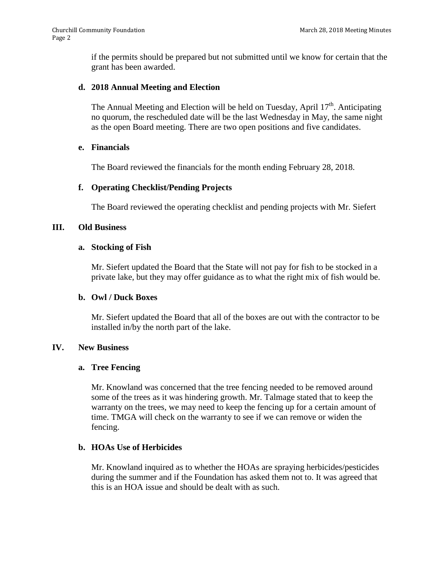if the permits should be prepared but not submitted until we know for certain that the grant has been awarded.

## **d. 2018 Annual Meeting and Election**

The Annual Meeting and Election will be held on Tuesday, April  $17<sup>th</sup>$ . Anticipating no quorum, the rescheduled date will be the last Wednesday in May, the same night as the open Board meeting. There are two open positions and five candidates.

## **e. Financials**

The Board reviewed the financials for the month ending February 28, 2018.

## **f. Operating Checklist/Pending Projects**

The Board reviewed the operating checklist and pending projects with Mr. Siefert

## **III. Old Business**

## **a. Stocking of Fish**

Mr. Siefert updated the Board that the State will not pay for fish to be stocked in a private lake, but they may offer guidance as to what the right mix of fish would be.

## **b. Owl / Duck Boxes**

Mr. Siefert updated the Board that all of the boxes are out with the contractor to be installed in/by the north part of the lake.

## **IV. New Business**

## **a. Tree Fencing**

Mr. Knowland was concerned that the tree fencing needed to be removed around some of the trees as it was hindering growth. Mr. Talmage stated that to keep the warranty on the trees, we may need to keep the fencing up for a certain amount of time. TMGA will check on the warranty to see if we can remove or widen the fencing.

# **b. HOAs Use of Herbicides**

Mr. Knowland inquired as to whether the HOAs are spraying herbicides/pesticides during the summer and if the Foundation has asked them not to. It was agreed that this is an HOA issue and should be dealt with as such.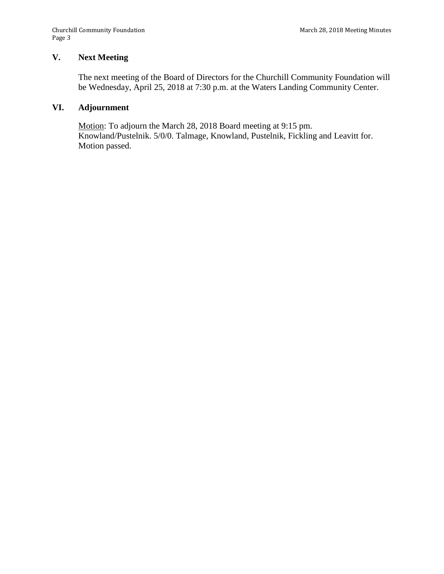# **V. Next Meeting**

The next meeting of the Board of Directors for the Churchill Community Foundation will be Wednesday, April 25, 2018 at 7:30 p.m. at the Waters Landing Community Center.

## **VI. Adjournment**

Motion: To adjourn the March 28, 2018 Board meeting at 9:15 pm. Knowland/Pustelnik. 5/0/0. Talmage, Knowland, Pustelnik, Fickling and Leavitt for. Motion passed.